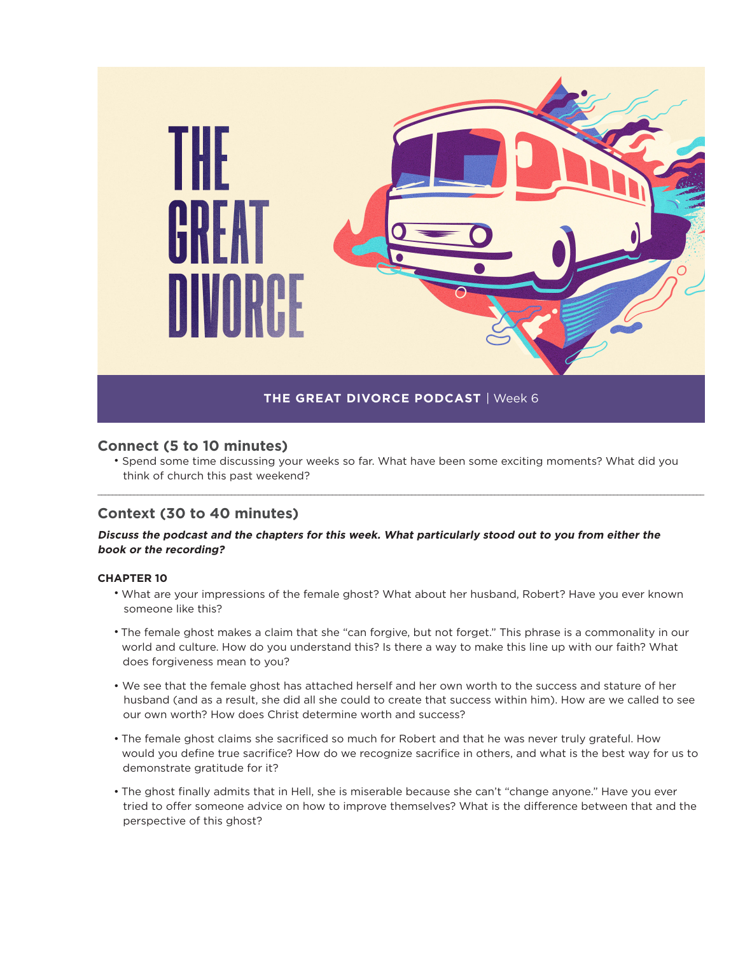

# **Connect (5 to 10 minutes)**

• Spend some time discussing your weeks so far. What have been some exciting moments? What did you think of church this past weekend?

\_\_\_\_\_\_\_\_\_\_\_\_\_\_\_\_\_\_\_\_\_\_\_\_\_\_\_\_\_\_\_\_\_\_\_\_\_\_\_\_\_\_\_\_\_\_\_\_\_\_\_\_\_\_\_\_\_\_\_\_\_\_\_\_\_\_\_\_\_\_\_\_\_\_\_\_\_\_\_\_\_\_\_\_\_\_\_\_\_\_\_\_\_\_\_\_\_\_\_\_\_\_\_\_\_\_\_\_\_\_\_\_\_\_\_\_\_\_\_\_\_\_\_\_\_\_\_\_\_\_\_\_\_\_\_\_\_\_\_\_\_\_\_\_\_\_\_\_\_\_\_\_\_\_\_\_\_\_\_\_\_\_\_\_\_\_\_\_

# **Context (30 to 40 minutes)**

## **Discuss the podcast and the chapters for this week. What particularly stood out to you from either the book or the recording?**

### **CHAPTER 10**

- What are your impressions of the female ghost? What about her husband, Robert? Have you ever known someone like this?
- The female ghost makes a claim that she "can forgive, but not forget." This phrase is a commonality in our world and culture. How do you understand this? Is there a way to make this line up with our faith? What does forgiveness mean to you?
- We see that the female ghost has attached herself and her own worth to the success and stature of her husband (and as a result, she did all she could to create that success within him). How are we called to see our own worth? How does Christ determine worth and success?
- The female ghost claims she sacrificed so much for Robert and that he was never truly grateful. How would you define true sacrifice? How do we recognize sacrifice in others, and what is the best way for us to demonstrate gratitude for it?
- The ghost finally admits that in Hell, she is miserable because she can't "change anyone." Have you ever tried to offer someone advice on how to improve themselves? What is the difference between that and the perspective of this ghost?